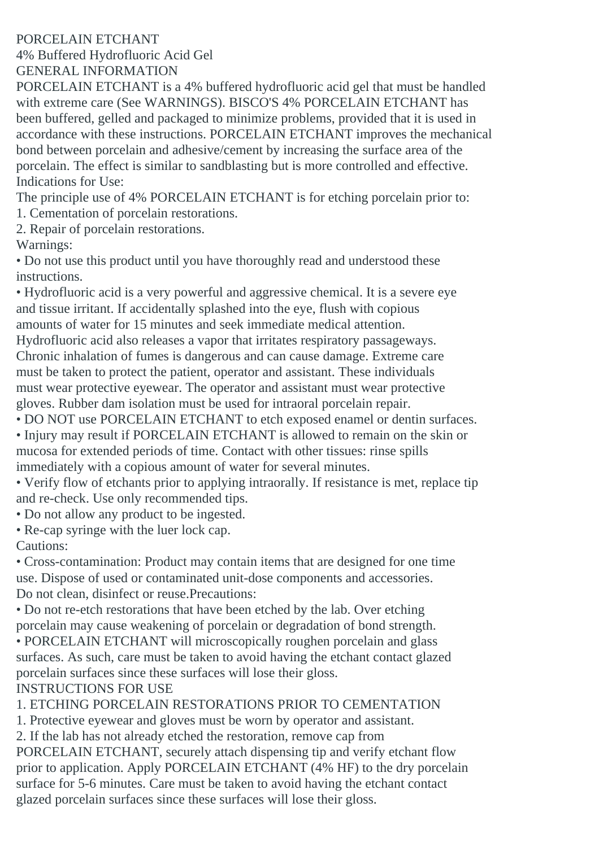## PORCELAIN ETCHANT

4% Buffered Hydrofluoric Acid Gel GENERAL INFORMATION

PORCELAIN ETCHANT is a 4% buffered hydrofluoric acid gel that must be handled with extreme care (See WARNINGS). BISCO'S 4% PORCELAIN ETCHANT has been buffered, gelled and packaged to minimize problems, provided that it is used in accordance with these instructions. PORCELAIN ETCHANT improves the mechanical bond between porcelain and adhesive/cement by increasing the surface area of the porcelain. The effect is similar to sandblasting but is more controlled and effective. Indications for Use:

The principle use of 4% PORCELAIN ETCHANT is for etching porcelain prior to:

- 1. Cementation of porcelain restorations.
- 2. Repair of porcelain restorations.

Warnings:

• Do not use this product until you have thoroughly read and understood these instructions.

• Hydrofluoric acid is a very powerful and aggressive chemical. It is a severe eye and tissue irritant. If accidentally splashed into the eye, flush with copious amounts of water for 15 minutes and seek immediate medical attention. Hydrofluoric acid also releases a vapor that irritates respiratory passageways. Chronic inhalation of fumes is dangerous and can cause damage. Extreme care must be taken to protect the patient, operator and assistant. These individuals must wear protective eyewear. The operator and assistant must wear protective gloves. Rubber dam isolation must be used for intraoral porcelain repair. • DO NOT use PORCELAIN ETCHANT to etch exposed enamel or dentin surfaces.

• Injury may result if PORCELAIN ETCHANT is allowed to remain on the skin or mucosa for extended periods of time. Contact with other tissues: rinse spills immediately with a copious amount of water for several minutes.

• Verify flow of etchants prior to applying intraorally. If resistance is met, replace tip and re-check. Use only recommended tips.

• Do not allow any product to be ingested.

• Re-cap syringe with the luer lock cap.

Cautions:

• Cross-contamination: Product may contain items that are designed for one time use. Dispose of used or contaminated unit-dose components and accessories. Do not clean, disinfect or reuse.Precautions:

• Do not re-etch restorations that have been etched by the lab. Over etching porcelain may cause weakening of porcelain or degradation of bond strength.

• PORCELAIN ETCHANT will microscopically roughen porcelain and glass surfaces. As such, care must be taken to avoid having the etchant contact glazed porcelain surfaces since these surfaces will lose their gloss. INSTRUCTIONS FOR USE

1. ETCHING PORCELAIN RESTORATIONS PRIOR TO CEMENTATION

1. Protective eyewear and gloves must be worn by operator and assistant.

2. If the lab has not already etched the restoration, remove cap from

PORCELAIN ETCHANT, securely attach dispensing tip and verify etchant flow prior to application. Apply PORCELAIN ETCHANT (4% HF) to the dry porcelain surface for 5-6 minutes. Care must be taken to avoid having the etchant contact glazed porcelain surfaces since these surfaces will lose their gloss.